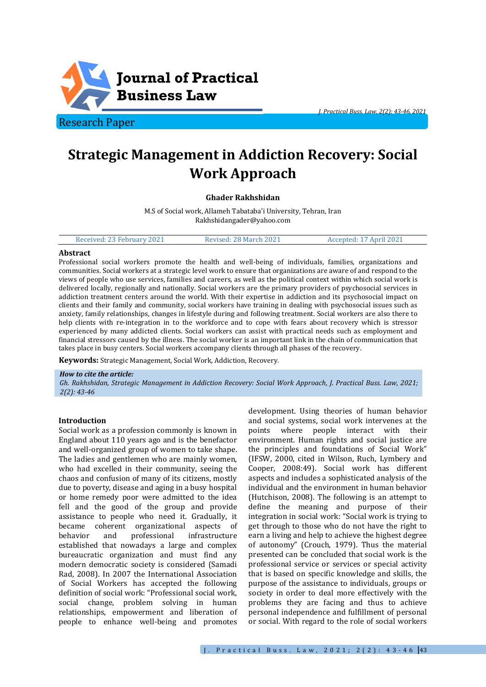

Research Paper

*J. Practical Buss. Law, 2(2): 43-46, 2021*

# **Strategic Management in Addiction Recovery: Social Work Approach**

## **Ghader Rakhshidan**

M.S of Social work, Allameh Tabataba'i University, Tehran, Iran [Rakhshidangader@yahoo.com](mailto:Rakhshidangader@yahoo.com)

| Accepted: 17 April 2021<br>Revised: 28 March 2021<br>Received: 23 February 2021 |
|---------------------------------------------------------------------------------|
|---------------------------------------------------------------------------------|

### **Abstract**

Professional social workers promote the health and well-being of individuals, families, organizations and communities. Social workers at a strategic level work to ensure that organizations are aware of and respond to the views of people who use services, families and careers, as well as the political context within which social work is delivered locally, regionally and nationally. Social workers are the primary providers of psychosocial services in addiction treatment centers around the world. With their expertise in addiction and its psychosocial impact on clients and their family and community, social workers have training in dealing with psychosocial issues such as anxiety, family relationships, changes in lifestyle during and following treatment. Social workers are also there to help clients with re-integration in to the workforce and to cope with fears about recovery which is stressor experienced by many addicted clients. Social workers can assist with practical needs such as employment and financial stressors caused by the illness. The social worker is an important link in the chain of communication that takes place in busy centers. Social workers accompany clients through all phases of the recovery.

**Keywords:** Strategic Management, Social Work, Addiction, Recovery.

#### *How to cite the article:*

*Gh. Rakhshidan*, *Strategic Management in Addiction Recovery: Social Work Approach, J. Practical Buss. Law, 2021; 2(2): 43-46*

#### **Introduction**

Social work as a profession commonly is known in England about 110 years ago and is the benefactor and well-organized group of women to take shape. The ladies and gentlemen who are mainly women, who had excelled in their community, seeing the chaos and confusion of many of its citizens, mostly due to poverty, disease and aging in a busy hospital or home remedy poor were admitted to the idea fell and the good of the group and provide assistance to people who need it. Gradually, it became coherent organizational aspects of behavior and professional infrastructure established that nowadays a large and complex bureaucratic organization and must find any modern democratic society is considered (Samadi Rad, 2008). In 2007 the International Association of Social Workers has accepted the following definition of social work: "Professional social work, social change, problem solving in human relationships, empowerment and liberation of people to enhance well-being and promotes

development. Using theories of human behavior and social systems, social work intervenes at the points where people interact with their environment. Human rights and social justice are the principles and foundations of Social Work" (IFSW, 2000, cited in Wilson, Ruch, Lymbery and Cooper, 2008:49). Social work has different aspects and includes a sophisticated analysis of the individual and the environment in human behavior (Hutchison, 2008). The following is an attempt to define the meaning and purpose of their integration in social work: "Social work is trying to get through to those who do not have the right to earn a living and help to achieve the highest degree of autonomy" (Crouch, 1979). Thus the material presented can be concluded that social work is the professional service or services or special activity that is based on specific knowledge and skills, the purpose of the assistance to individuals, groups or society in order to deal more effectively with the problems they are facing and thus to achieve personal independence and fulfillment of personal or social. With regard to the role of social workers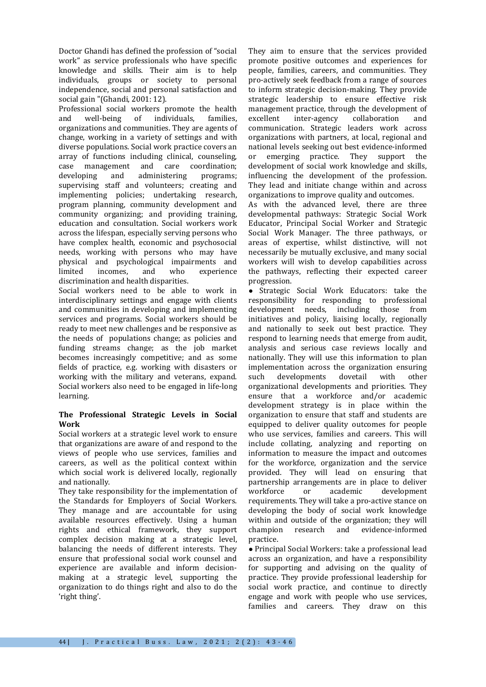Doctor Ghandi has defined the profession of "social work" as service professionals who have specific knowledge and skills. Their aim is to help individuals, groups or society to personal independence, social and personal satisfaction and social gain "(Ghandi, 2001: 12).

Professional social workers promote the health and well-being of individuals, families, organizations and communities. They are agents of change, working in a variety of settings and with diverse populations. Social work practice covers an array of functions including clinical, counseling, case management and care coordination; developing and administering programs; supervising staff and volunteers; creating and implementing policies; undertaking research, program planning, community development and community organizing; and providing training, education and consultation. Social workers work across the lifespan, especially serving persons who have complex health, economic and psychosocial needs, working with persons who may have physical and psychological impairments and limited incomes, and who experience discrimination and health disparities.

Social workers need to be able to work in interdisciplinary settings and engage with clients and communities in developing and implementing services and programs. Social workers should be ready to meet new challenges and be responsive as the needs of populations change; as policies and funding streams change; as the job market becomes increasingly competitive; and as some fields of practice, e.g. working with disasters or working with the military and veterans, expand. Social workers also need to be engaged in life-long learning.

## **The Professional Strategic Levels in Social Work**

Social workers at a strategic level work to ensure that organizations are aware of and respond to the views of people who use services, families and careers, as well as the political context within which social work is delivered locally, regionally and nationally.

They take responsibility for the implementation of the Standards for Employers of Social Workers. They manage and are accountable for using available resources effectively. Using a human rights and ethical framework, they support complex decision making at a strategic level, balancing the needs of different interests. They ensure that professional social work counsel and experience are available and inform decisionmaking at a strategic level, supporting the organization to do things right and also to do the 'right thing'.

They aim to ensure that the services provided promote positive outcomes and experiences for people, families, careers, and communities. They pro-actively seek feedback from a range of sources to inform strategic decision-making. They provide strategic leadership to ensure effective risk management practice, through the development of excellent inter-agency collaboration and communication. Strategic leaders work across organizations with partners, at local, regional and national levels seeking out best evidence-informed or emerging practice. They support the development of social work knowledge and skills, influencing the development of the profession. They lead and initiate change within and across organizations to improve quality and outcomes.

As with the advanced level, there are three developmental pathways: Strategic Social Work Educator, Principal Social Worker and Strategic Social Work Manager. The three pathways, or areas of expertise, whilst distinctive, will not necessarily be mutually exclusive, and many social workers will wish to develop capabilities across the pathways, reflecting their expected career progression.

 Strategic Social Work Educators: take the responsibility for responding to professional development needs, including those from initiatives and policy, liaising locally, regionally and nationally to seek out best practice. They respond to learning needs that emerge from audit, analysis and serious case reviews locally and nationally. They will use this information to plan implementation across the organization ensuring such developments dovetail with other organizational developments and priorities. They ensure that a workforce and/or academic development strategy is in place within the organization to ensure that staff and students are equipped to deliver quality outcomes for people who use services, families and careers. This will include collating, analyzing and reporting on information to measure the impact and outcomes for the workforce, organization and the service provided. They will lead on ensuring that partnership arrangements are in place to deliver workforce or academic development requirements. They will take a pro-active stance on developing the body of social work knowledge within and outside of the organization; they will champion research and evidence-informed practice.

 Principal Social Workers: take a professional lead across an organization, and have a responsibility for supporting and advising on the quality of practice. They provide professional leadership for social work practice, and continue to directly engage and work with people who use services, families and careers. They draw on this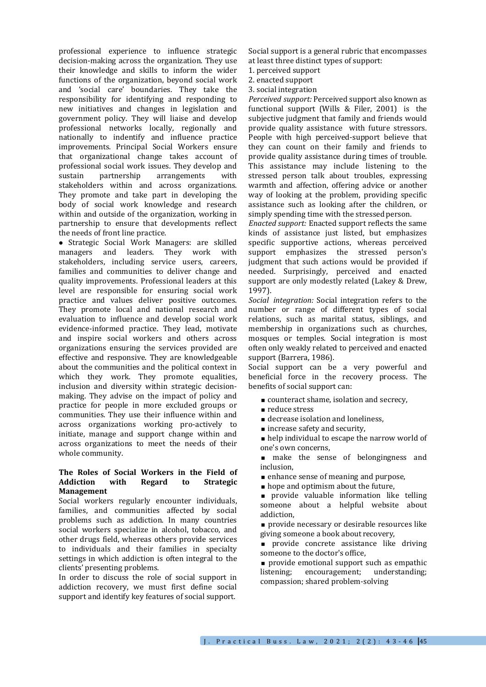professional experience to influence strategic decision-making across the organization. They use their knowledge and skills to inform the wider functions of the organization, beyond social work and 'social care' boundaries. They take the responsibility for identifying and responding to new initiatives and changes in legislation and government policy. They will liaise and develop professional networks locally, regionally and nationally to indentify and influence practice improvements. Principal Social Workers ensure that organizational change takes account of professional social work issues. They develop and sustain partnership arrangements with stakeholders within and across organizations. They promote and take part in developing the body of social work knowledge and research within and outside of the organization, working in partnership to ensure that developments reflect the needs of front line practice.

 Strategic Social Work Managers: are skilled managers and leaders. They work with stakeholders, including service users, careers, families and communities to deliver change and quality improvements. Professional leaders at this level are responsible for ensuring social work practice and values deliver positive outcomes. They promote local and national research and evaluation to influence and develop social work evidence-informed practice. They lead, motivate and inspire social workers and others across organizations ensuring the services provided are effective and responsive. They are knowledgeable about the communities and the political context in which they work. They promote equalities, inclusion and diversity within strategic decisionmaking. They advise on the impact of policy and practice for people in more excluded groups or communities. They use their influence within and across organizations working pro-actively to initiate, manage and support change within and across organizations to meet the needs of their whole community.

## **The Roles of Social Workers in the Field of Addiction with Regard to Strategic Management**

Social workers regularly encounter individuals, families, and communities affected by social problems such as addiction. In many countries social workers specialize in alcohol, tobacco, and other drugs field, whereas others provide services to individuals and their families in specialty settings in which addiction is often integral to the clients' presenting problems.

In order to discuss the role of social support in addiction recovery, we must first define social support and identify key features of social support.

Social support is a general rubric that encompasses at least three distinct types of support:

1. perceived support

2. enacted support

3. social integration

*Perceived support:* Perceived support also known as functional support (Wills & Filer, 2001) is the subjective judgment that family and friends would provide quality assistance with future stressors. People with high perceived-support believe that they can count on their family and friends to provide quality assistance during times of trouble. This assistance may include listening to the stressed person talk about troubles, expressing warmth and affection, offering advice or another way of looking at the problem, providing specific assistance such as looking after the children, or simply spending time with the stressed person.

*Enacted support:* Enacted support reflects the same kinds of assistance just listed, but emphasizes specific supportive actions, whereas perceived support emphasizes the stressed person's judgment that such actions would be provided if needed. Surprisingly, perceived and enacted support are only modestly related (Lakey & Drew, 1997).

*Social integration:* Social integration refers to the number or range of different types of social relations, such as marital status, siblings, and membership in organizations such as churches, mosques or temples. Social integration is most often only weakly related to perceived and enacted support (Barrera, 1986).

Social support can be a very powerful and beneficial force in the recovery process. The benefits of social support can:

counteract shame, isolation and secrecy,

- reduce stress
- decrease isolation and loneliness,
- **n** increase safety and security,

 help individual to escape the narrow world of one's own concerns,

 make the sense of belongingness and inclusion,

enhance sense of meaning and purpose,

**hope and optimism about the future,** 

**provide valuable information like telling** someone about a helpful website about addiction,

**provide necessary or desirable resources like** giving someone a book about recovery,

**provide** concrete assistance like driving someone to the doctor's office,

**provide emotional support such as empathic** listening; encouragement; understanding; compassion; shared problem-solving